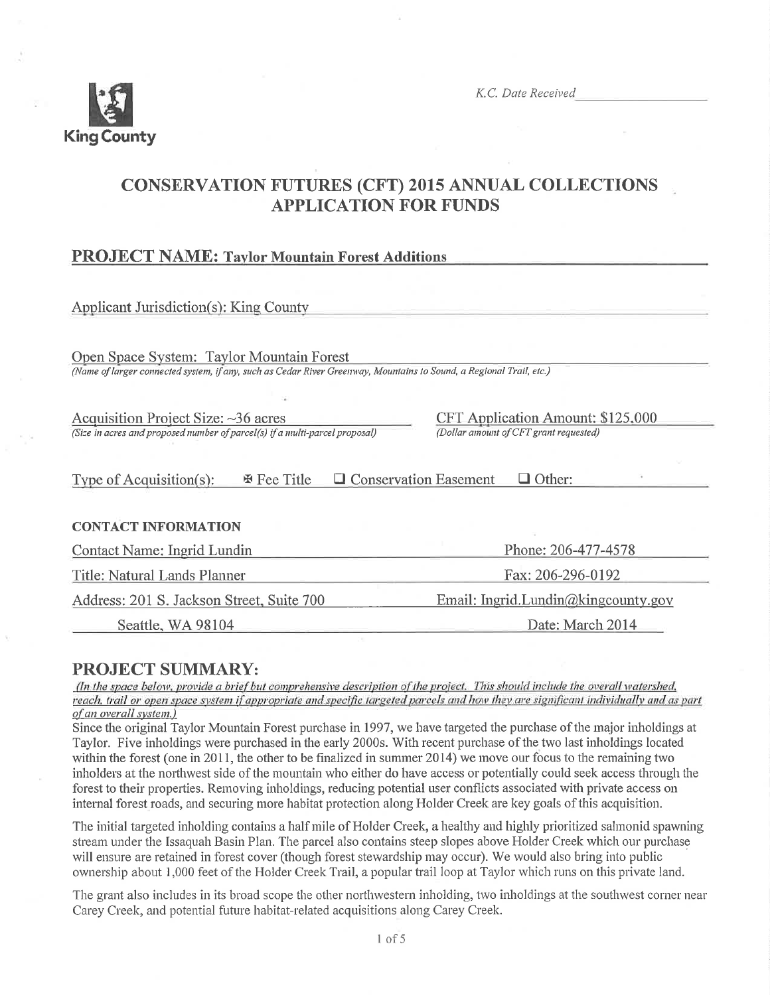

K.C. Date Received

# **CONSERVATION FUTURES (CFT) 2015 ANNUAL COLLECTIONS APPLICATION FOR FUNDS**

## **PROJECT NAME: Taylor Mountain Forest Additions**

| <b>Applicant Jurisdiction(s): King County</b>                                                                       |                                        |  |
|---------------------------------------------------------------------------------------------------------------------|----------------------------------------|--|
| Open Space System: Taylor Mountain Forest                                                                           |                                        |  |
| (Name of larger connected system, if any, such as Cedar River Greenway, Mountains to Sound, a Regional Trail, etc.) |                                        |  |
|                                                                                                                     |                                        |  |
| Acquisition Project Size: ~36 acres                                                                                 | CFT Application Amount: \$125,000      |  |
| (Size in acres and proposed number of parcel(s) if a multi-parcel proposal)                                         | (Dollar amount of CFT grant requested) |  |
|                                                                                                                     |                                        |  |
| <b>Q</b> Conservation Easement<br><b>Type of Acquisition(s):</b><br>$\mathbb F$ Fee Title                           | $\Box$ Other:                          |  |
|                                                                                                                     |                                        |  |
| <b>CONTACT INFORMATION</b>                                                                                          |                                        |  |
| Contact Name: Ingrid Lundin                                                                                         | Phone: 206-477-4578                    |  |
| Title: Natural Lands Planner                                                                                        | Fax: 206-296-0192                      |  |
| Address: 201 S. Jackson Street, Suite 700                                                                           | Email: Ingrid.Lundin@kingcounty.gov    |  |
| Seattle, WA 98104                                                                                                   | Date: March 2014                       |  |

## **PROJECT SUMMARY:**

(In the space below, provide a brief but comprehensive description of the project. This should include the overall watershed, reach, trail or open space system if appropriate and specific targeted parcels and how they are significant individually and as part of an overall system.)

Since the original Taylor Mountain Forest purchase in 1997, we have targeted the purchase of the major inholdings at Taylor. Five inholdings were purchased in the early 2000s. With recent purchase of the two last inholdings located within the forest (one in 2011, the other to be finalized in summer  $2014$ ) we move our focus to the remaining two inholders at the northwest side of the mountain who either do have access or potentially could seek access through the forest to their properties. Removing inholdings, reducing potential user conflicts associated with private access on internal forest roads, and securing more habitat protection along Holder Creek are key goals of this acquisition.

The initial targeted inholding contains a half mile of Holder Creek, a healthy and highly prioritized salmonid spawning stream under the Issaquah Basin Plan. The parcel also contains steep slopes above Holder Creek which our purchase will ensure are retained in forest cover (though forest stewardship may occur). We would also bring into public ownership about 1,000 feet of the Holder Creek Trail, a popular trail loop at Taylor which runs on this private land.

The grant also includes in its broad scope the other northwestern inholding, two inholdings at the southwest corner near Carey Creek, and potential future habitat-related acquisitions along Carey Creek.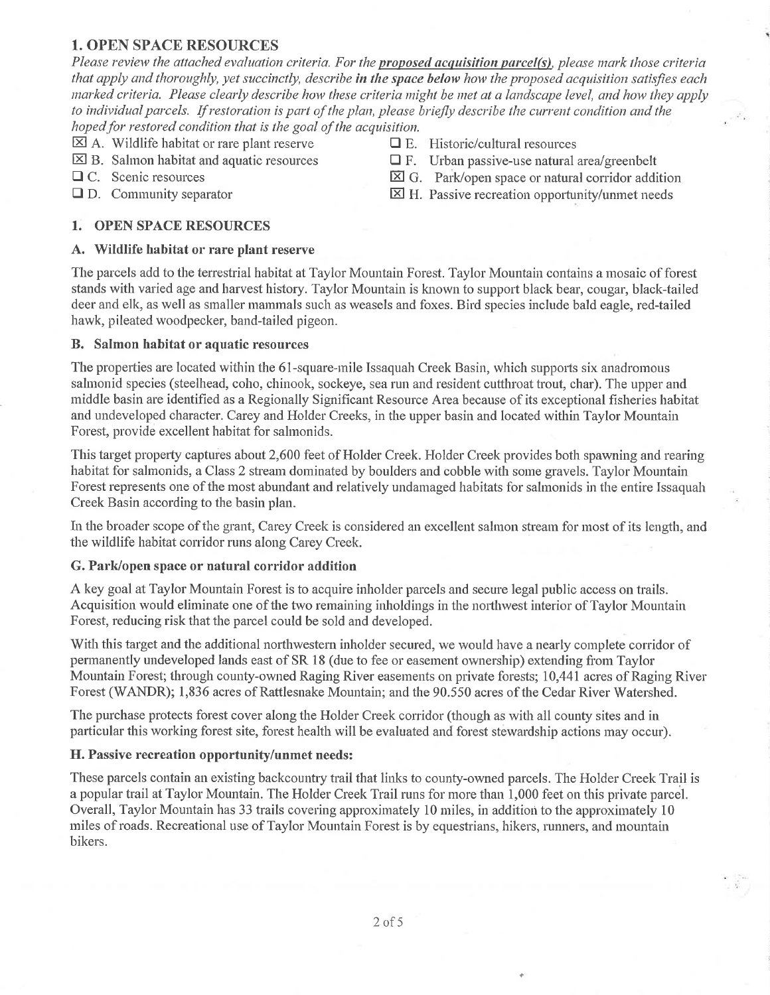## 1. OPEN SPACE RESOURCES

Please review the attached evaluation criteria. For the proposed acquisition parcel(s), please mark those criteria that apply and thoroughly, yet succinctly, describe in the space below how the proposed acquisition satisfies each marked criteria. Please clearly describe how these criteria might be met at a landscape level, and how they apply to individual parcels. If restoration is part of the plan, please briefly describe the current condition and the hoped for restored condition that is the goal of the acquisition.

- $\boxtimes$  A. Wildlife habitat or rare plant reserve  $\Box$  E. Historic/cultural resources
- $\boxtimes$  B. Salmon habitat and aquatic resources  $\Box$  F. Urban passive-use natural area/greenbelt
- 
- 
- 
- 
- $\Box$  C. Scenic resources  $\boxtimes$  G. Park/open space or natural corridor addition
- $\Box$  D. Community separator  $\boxtimes$  H. Passive recreation opportunity/unmet needs

#### 1. OPEN SPACE RESOIIRCES

#### A. Wildlife habitat or rare plant reserve

The parcels add to the terrestrial habitat at Taylor Mountain Forest. Taylor Mountain contains a mosaic of forest stands with varied age and harvest history. Taylor Mountain is known to support black bear, cougar, black-tailed deer and elk, as well as smaller mammals such as weasels and foxes. Bird species include bald eagle, red-tailed hawk, pileated woodpecker, band-tailed pigeon.

#### B. Salmon habitat or aquatic resources

The properties are located within the 61-square-mile Issaquah Creek Basin, which supports six anadromous salmonid species (steelhead, coho, chinook, sockeye, sea run and resident cutthroat trout, char). The upper and middle basin are identified as a Regionally Significant Resource Area because of its exceptional fisheries habitat and undeveloped character. Carey and Holder Creeks, in the upper basin and located within Taylor Mountain Forest, provide excellent habitat for salmonids.

This target property captures about 2,600 feet of Holder Creek. Holder Creek provides both spawning and rearing habitat for salmonids, a Class 2 stream dominated by boulders and cobble with some gravels. Taylor Mountain Forest represents one of the most abundant and relatively undamaged habitats for salmonids in the entire Issaquah Creek Basin according to the basin plan.

In the broader scope of the grant, Carey Creek is considered an excellent salmon stream for most of its length, and the wildlife habitat corridor runs along Carey Creek.

### G. Park/open space or natural corridor addition

A key goal at Taylor Mountain Forest is to acquire inholder parcels and secure legal public access on trails. Acquisition would eliminate one of the two remaining inholdings in the northwest interior of Taylor Mountain Forest, reducing risk that the parcel could be sold and developed.

With this target and the additional northwestern inholder secured, we would have a nearly complete corridor of permanently undeveloped lands east of SR 18 (due to fee or easement ownership) extending from Taylor Mountain Forest; through county-owned Raging River easements on private forests; 10,441 acres of Raging River' Forest (WANDR); 1,836 acres of Rattlesnake Mountain; and the 90.550 acres of the Cedar River Watershed.

The purchase protects forest cover along the Holder Creek corridor (though as with all county sites and in particular this working forest site, forest health will be evaluated and forest stewardship actions may occur).

#### H. Passive recreation opportunity/unmet needs:

These parcels contain an existing backcountry trail that links to county-owned parcels. The Holder Creek Trail is a popular trail at Taylor Mountain. The Holder Creek Trail runs for more than 1,000 feet on this private parcel. Overall, Taylor Mountain has 33 trails covering approximately 10 miles, in addition to the approximately 10 miles of roads. Recreational use of Taylor Mountain Forest is by equestrians, hikers, runners, and mountain bikers.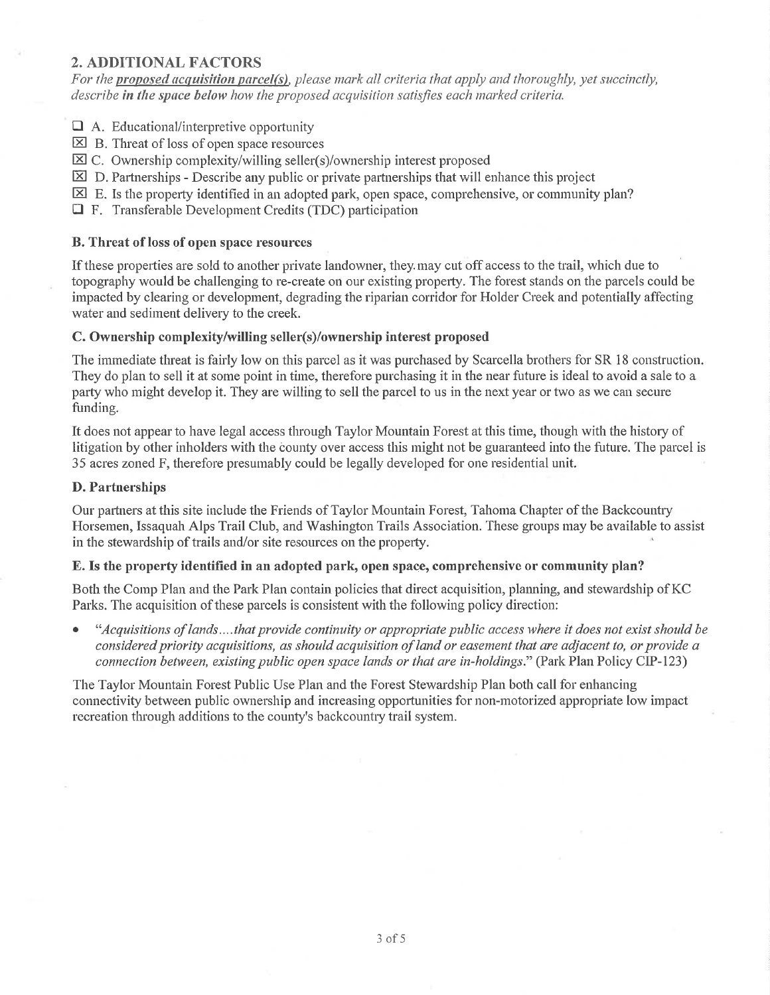## 2. ADDITIONAL FACTORS

For the proposed acquisition parcel(s), please mark all criteria that apply and thoroughly, yet succinctly, describe in the space below how the proposed acquisition satisfies each marked criteria.

- $\Box$  A. Educational/interpretive opportunity
- $\boxtimes$  B. Threat of loss of open space resources
- $\boxtimes$  C. Ownership complexity/willing seller(s)/ownership interest proposed
- $\bar{\mathbb{E}}$  D. Partnerships Describe any public or private partnerships that will enhance this project
- $\boxtimes$  E. Is the property identified in an adopted park, open space, comprehensive, or community plan?
- $\Box$  F. Transferable Development Credits (TDC) participation

#### B. Threat of loss of open space resources

If these properties are sold to another private landowner, they may cut off access to the trail, which due to topography would be challenging to re-create on our existing property. The forest stands on the parcels could be impacted by clearing or development, degrading the riparian corridor for Holder Creek and potentially affecting water and sediment delivery to the creek.

#### C. Ownership complexity/wilting seller(s)/ownership interest proposed

The immediate threat is fairly low on this parcel as it was purchased by Scarcella brothers for SR 18 construction. They do plan to sell it at some point in time, therefore purchasing it in the near future is ideal to avoid a sale to a party who might develop it. They are willing to sell the parcel to us in the next year or two as we can secure funding.

It does not appear to have legal access through Taylor Mountain Forest at this time, though with the history of litigation by other inholders with the county over access this might not be guaranteed into the future. The parcel is 35 acres zoned F, therefore presumably could be legally developed for one residential unit.

#### D. Partnerships

Our partners at this site include the Friends of Taylor Mountain Forest, Tahoma Chapter of the Backcountry Horsemen, Issaquah Alps Trail Club, and Washington Trails Association. These groups may be available to assist in the stewardship of trails and/or site resources on the property.

#### E. Is the properfy Ídentified in an adopted park, open space, comprehensive or community plan?

Both the Comp Plan and the Park Plan contain policies that direct acquisition, planning, and stewardship of KC Parks. The acquisition of these parcels is consistent with the following policy direction:

"Acquisitions of lands ... .that provide continuity or appropriate public access where it does not exist should be considered priority acquisitions, as should acquisition of land or easement that are adjacent to, or provide a connection between, existing public open space lands or that are in-holdings." (Park Plan Policy CIP-123)

The Taylor Mountain Forest Public Use Plan and the Forest Stewardship Plan both call for enhancing connectivity between public ownership and increasing opportunities for non-motorized appropriate low impact recreation through additions to the county's backcountry trail system.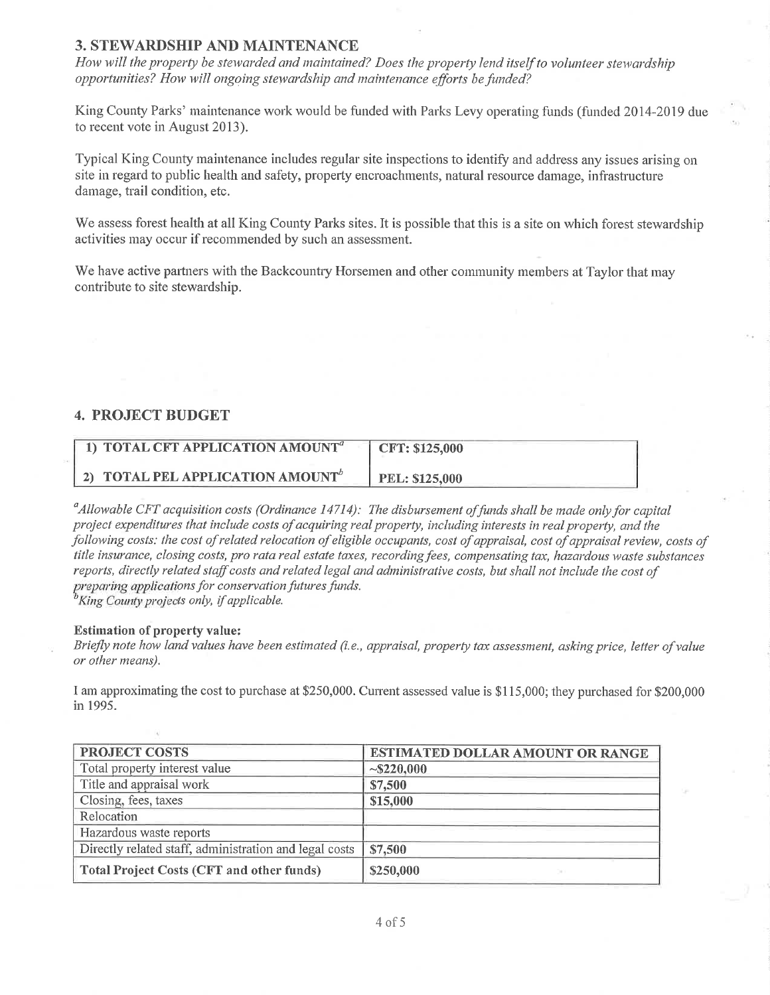## **3. STEWARDSHIP AND MAINTENANCE**

How will the property be stewarded and maintained? Does the property lend itself to volunteer stewardship opportunities? How will ongoing stewardship and maintenance efforts be funded?

King County Parks' maintenance work would be funded with Parks Levy operating funds (funded 2014-2019 due to recent vote in August 2013).

Typical King County maintenance includes regular site inspections to identify and address any issues arising on site in regard to public health and safety, property encroachments, natural resource damage, infrastructure damage, trail condition, etc.

We assess forest health at all King County Parks sites. It is possible that this is a site on which forest stewardship activities may occur if recommended by such an assessment.

We have active partners with the Backcountry Horsemen and other community members at Taylor that may contribute to site stewardship.

## **4. PROJECT BUDGET**

| 1) TOTAL CFT APPLICATION AMOUNT <sup>a</sup> | <b>CFT: \$125,000</b> |
|----------------------------------------------|-----------------------|
| 2) TOTAL PEL APPLICATION AMOUNT <sup>o</sup> | <b>PEL: \$125,000</b> |

 $\alpha$ <sup>a</sup>Allowable CFT acquisition costs (Ordinance 14714): The disbursement of funds shall be made only for capital project expenditures that include costs of acquiring real property, including interests in real property, and the following costs; the cost of related relocation of eligible occupants, cost of appraisal, cost of appraisal review, costs of title insurance, closing costs, pro rata real estate taxes, recording fees, compensating tax, hazardous waste substances reports, directly related staff costs and related legal and administrative costs, but shall not include the cost of preparing applications for conservation futures funds. <sup>b</sup>King County projects only, if applicable.

#### **Estimation of property value:**

Briefly note how land values have been estimated (i.e., appraisal, property tax assessment, asking price, letter of value or other means).

I am approximating the cost to purchase at \$250,000. Current assessed value is \$115,000; they purchased for \$200,000 in 1995.

| PROJECT COSTS                                          | <b>ESTIMATED DOLLAR AMOUNT OR RANGE</b> |
|--------------------------------------------------------|-----------------------------------------|
| Total property interest value                          | $\sim$ \$220,000                        |
| Title and appraisal work                               | \$7,500                                 |
| Closing, fees, taxes                                   | \$15,000                                |
| Relocation                                             |                                         |
| Hazardous waste reports                                |                                         |
| Directly related staff, administration and legal costs | \$7,500                                 |
| Total Project Costs (CFT and other funds)              | \$250,000                               |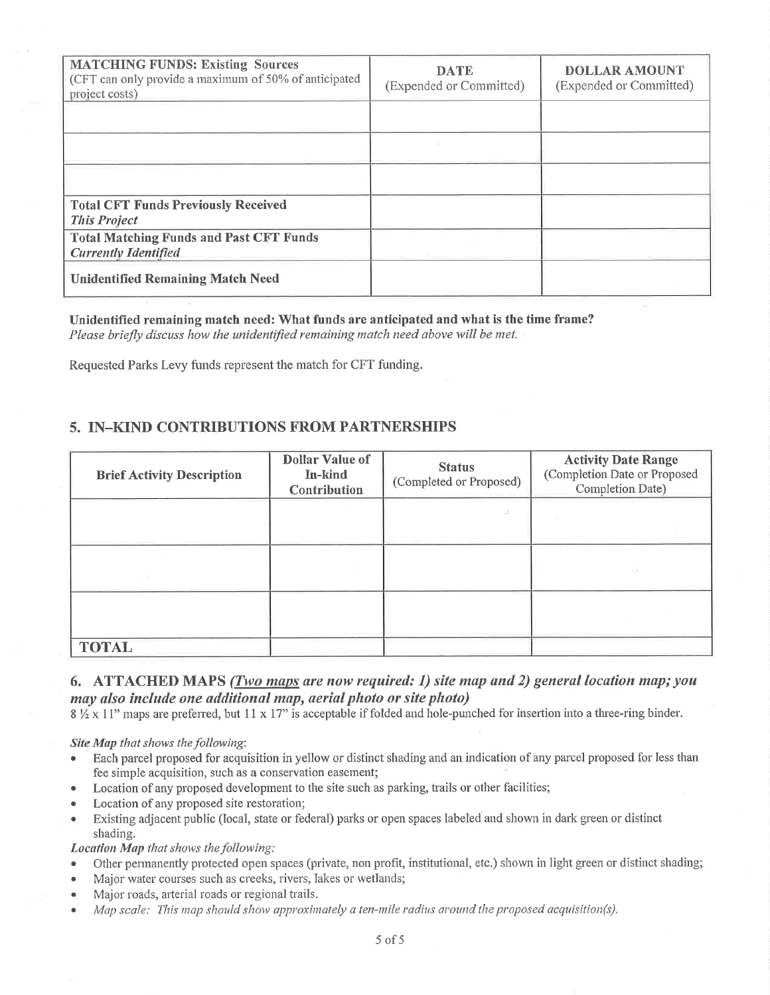| <b>MATCHING FUNDS: Existing Sources</b><br>(CFT can only provide a maximum of 50% of anticipated<br>project costs) | <b>DATE</b><br>(Expended or Committed) | <b>DOLLAR AMOUNT</b><br>(Expended or Committed) |
|--------------------------------------------------------------------------------------------------------------------|----------------------------------------|-------------------------------------------------|
|                                                                                                                    |                                        |                                                 |
|                                                                                                                    |                                        |                                                 |
|                                                                                                                    |                                        |                                                 |
| <b>Total CFT Funds Previously Received</b><br><b>This Project</b>                                                  |                                        |                                                 |
| <b>Total Matching Funds and Past CFT Funds</b><br><b>Currently Identified</b>                                      |                                        |                                                 |
| <b>Unidentified Remaining Match Need</b>                                                                           |                                        |                                                 |

Unidentified remaining match need: What funds are anticipated and what is the time frame? Please briefly discuss how the unidentified remaining match need above will be met.

Requested Parks Levy funds represent the match for CFT funding.

## 5. IN-KIND CONTRIBUTIONS FROM PARTNERSHIPS

| <b>Brief Activity Description</b> | <b>Dollar Value of</b><br>In-kind<br>Contribution | <b>Status</b><br>(Completed or Proposed) | <b>Activity Date Range</b><br>(Completion Date or Proposed<br>Completion Date) |
|-----------------------------------|---------------------------------------------------|------------------------------------------|--------------------------------------------------------------------------------|
|                                   |                                                   |                                          |                                                                                |
|                                   |                                                   |                                          |                                                                                |
|                                   |                                                   |                                          |                                                                                |
| <b>TOTAL</b>                      |                                                   |                                          |                                                                                |

## 6. ATTACHED MAPS (Two maps are now required: 1) site map and 2) general location map; you may also include one additional map, aerial photo or site photo)

8 1/2 x 11" maps are preferred, but 11 x 17" is acceptable if folded and hole-punched for insertion into a three-ring binder.

Site Map that shows the following:

- Each parcel proposed for acquisition in yellow or distinct shading and an indication of any parcel proposed for less than fee simple acquisition, such as a conservation easement;
- Location of any proposed development to the site such as parking, trails or other facilities;
- Location of any proposed site restoration;  $\bullet$
- Existing adjacent public (local, state or federal) parks or open spaces labeled and shown in dark green or distinct  $\bullet$ shading.

Location Map that shows the following:

- Other permanently protected open spaces (private, non profit, institutional, etc.) shown in light green or distinct shading;  $\bullet$
- Major water courses such as creeks, rivers, lakes or wetlands;  $\bullet$
- Major roads, arterial roads or regional trails.  $\bullet$
- Map scale: This map should show approximately a ten-mile radius around the proposed acquisition(s).  $\bullet$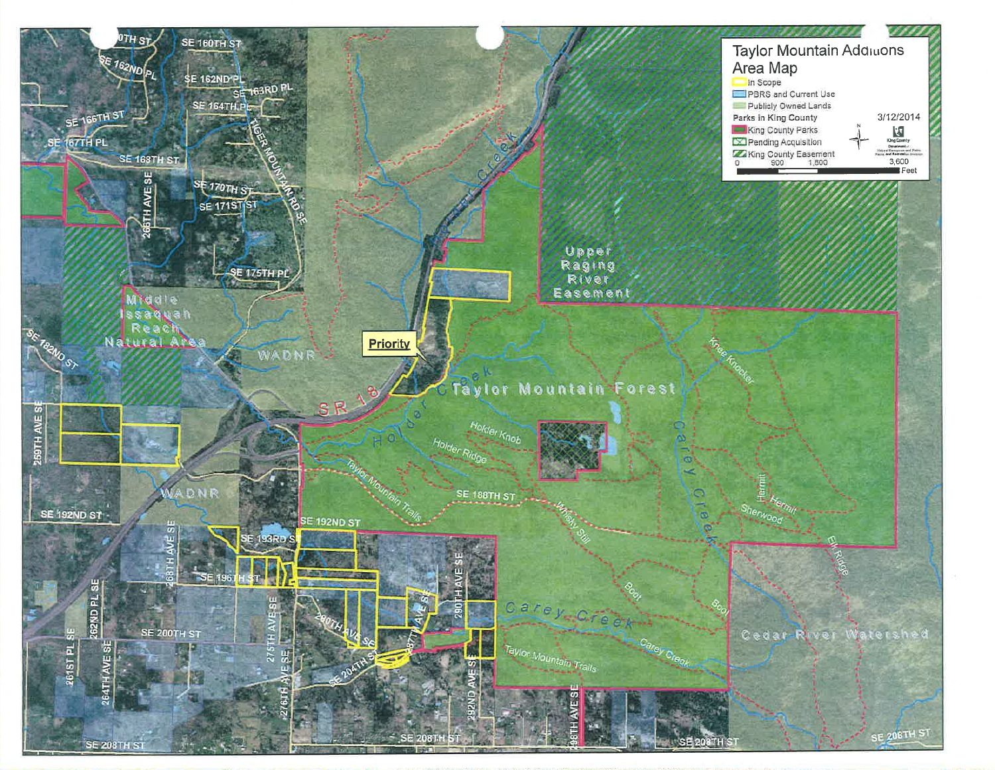